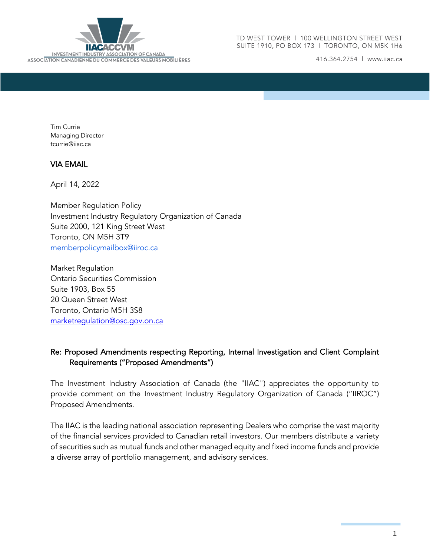

416.364.2754 | www.iiac.ca

Tim Currie Managing Director tcurrie@iiac.ca

#### VIA EMAIL

April 14, 2022

Member Regulation Policy Investment Industry Regulatory Organization of Canada Suite 2000, 121 King Street West Toronto, ON M5H 3T9 [memberpolicymailbox@iiroc.ca](mailto:memberpolicymailbox@iiroc.ca)

Market Regulation Ontario Securities Commission Suite 1903, Box 55 20 Queen Street West Toronto, Ontario M5H 3S8 [marketregulation@osc.gov.on.ca](mailto:marketregulation@osc.gov.on.ca)

# Re: Proposed Amendments respecting Reporting, Internal Investigation and Client Complaint Requirements ("Proposed Amendments")

The Investment Industry Association of Canada (the "IIAC") appreciates the opportunity to provide comment on the Investment Industry Regulatory Organization of Canada ("IIROC") Proposed Amendments.

The IIAC is the leading national association representing Dealers who comprise the vast majority of the financial services provided to Canadian retail investors. Our members distribute a variety of securities such as mutual funds and other managed equity and fixed income funds and provide a diverse array of portfolio management, and advisory services.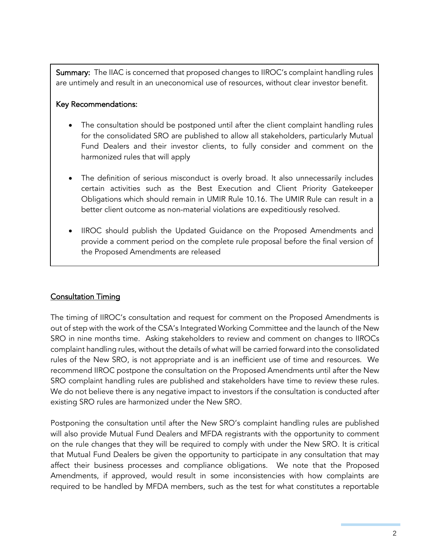Summary: The IIAC is concerned that proposed changes to IIROC's complaint handling rules are untimely and result in an uneconomical use of resources, without clear investor benefit.

### Key Recommendations:

- The consultation should be postponed until after the client complaint handling rules for the consolidated SRO are published to allow all stakeholders, particularly Mutual Fund Dealers and their investor clients, to fully consider and comment on the harmonized rules that will apply
- The definition of serious misconduct is overly broad. It also unnecessarily includes certain activities such as the Best Execution and Client Priority Gatekeeper Obligations which should remain in UMIR Rule 10.16. The UMIR Rule can result in a better client outcome as non-material violations are expeditiously resolved.
- IIROC should publish the Updated Guidance on the Proposed Amendments and provide a comment period on the complete rule proposal before the final version of the Proposed Amendments are released

# Consultation Timing

The timing of IIROC's consultation and request for comment on the Proposed Amendments is out of step with the work of the CSA's Integrated Working Committee and the launch of the New SRO in nine months time. Asking stakeholders to review and comment on changes to IIROCs complaint handling rules, without the details of what will be carried forward into the consolidated rules of the New SRO, is not appropriate and is an inefficient use of time and resources. We recommend IIROC postpone the consultation on the Proposed Amendments until after the New SRO complaint handling rules are published and stakeholders have time to review these rules. We do not believe there is any negative impact to investors if the consultation is conducted after existing SRO rules are harmonized under the New SRO.

Postponing the consultation until after the New SRO's complaint handling rules are published will also provide Mutual Fund Dealers and MFDA registrants with the opportunity to comment on the rule changes that they will be required to comply with under the New SRO. It is critical that Mutual Fund Dealers be given the opportunity to participate in any consultation that may affect their business processes and compliance obligations. We note that the Proposed Amendments, if approved, would result in some inconsistencies with how complaints are required to be handled by MFDA members, such as the test for what constitutes a reportable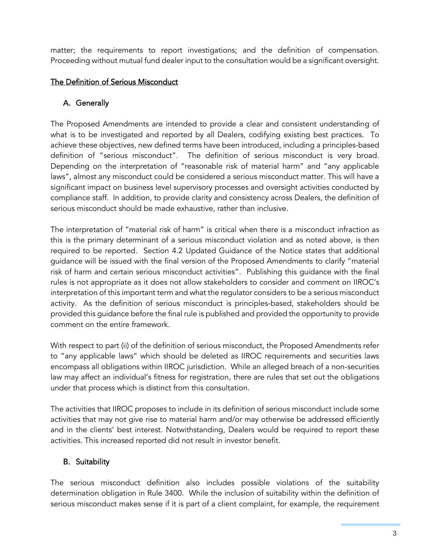matter; the requirements to report investigations; and the definition of compensation. Proceeding without mutual fund dealer input to the consultation would be a significant oversight.

# The Definition of Serious Misconduct

# A. Generally

The Proposed Amendments are intended to provide a clear and consistent understanding of what is to be investigated and reported by all Dealers, codifying existing best practices. To achieve these objectives, new defined terms have been introduced, including a principles-based definition of "serious misconduct". The definition of serious misconduct is very broad. Depending on the interpretation of "reasonable risk of material harm" and "any applicable laws", almost any misconduct could be considered a serious misconduct matter. This will have a significant impact on business level supervisory processes and oversight activities conducted by compliance staff. In addition, to provide clarity and consistency across Dealers, the definition of serious misconduct should be made exhaustive, rather than inclusive.

The interpretation of "material risk of harm" is critical when there is a misconduct infraction as this is the primary determinant of a serious misconduct violation and as noted above, is then required to be reported. Section 4.2 Updated Guidance of the Notice states that additional guidance will be issued with the final version of the Proposed Amendments to clarify "material risk of harm and certain serious misconduct activities". Publishing this guidance with the final rules is not appropriate as it does not allow stakeholders to consider and comment on IIROC's interpretation of this important term and what the regulator considers to be a serious misconduct activity. As the definition of serious misconduct is principles-based, stakeholders should be provided this guidance before the final rule is published and provided the opportunity to provide comment on the entire framework.

With respect to part (ii) of the definition of serious misconduct, the Proposed Amendments refer to "any applicable laws" which should be deleted as IIROC requirements and securities laws encompass all obligations within IIROC jurisdiction. While an alleged breach of a non-securities law may affect an individual's fitness for registration, there are rules that set out the obligations under that process which is distinct from this consultation.

The activities that IIROC proposes to include in its definition of serious misconduct include some activities that may not give rise to material harm and/or may otherwise be addressed efficiently and in the clients' best interest. Notwithstanding, Dealers would be required to report these activities. This increased reported did not result in investor benefit.

# B. Suitability

The serious misconduct definition also includes possible violations of the suitability determination obligation in Rule 3400. While the inclusion of suitability within the definition of serious misconduct makes sense if it is part of a client complaint, for example, the requirement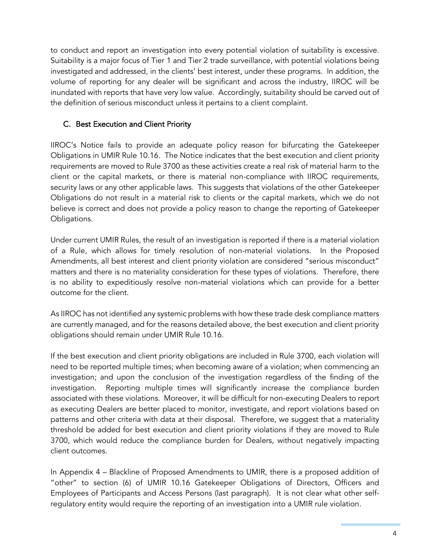to conduct and report an investigation into every potential violation of suitability is excessive. Suitability is a major focus of Tier 1 and Tier 2 trade surveillance, with potential violations being investigated and addressed, in the clients' best interest, under these programs. In addition, the volume of reporting for any dealer will be significant and across the industry, IIROC will be inundated with reports that have very low value. Accordingly, suitability should be carved out of the definition of serious misconduct unless it pertains to a client complaint.

## C. Best Execution and Client Priority

IIROC's Notice fails to provide an adequate policy reason for bifurcating the Gatekeeper Obligations in UMIR Rule 10.16. The Notice indicates that the best execution and client priority requirements are moved to Rule 3700 as these activities create a real risk of material harm to the client or the capital markets, or there is material non-compliance with IIROC requirements, security laws or any other applicable laws. This suggests that violations of the other Gatekeeper Obligations do not result in a material risk to clients or the capital markets, which we do not believe is correct and does not provide a policy reason to change the reporting of Gatekeeper Obligations.

Under current UMIR Rules, the result of an investigation is reported if there is a material violation of a Rule, which allows for timely resolution of non-material violations. In the Proposed Amendments, all best interest and client priority violation are considered "serious misconduct" matters and there is no materiality consideration for these types of violations. Therefore, there is no ability to expeditiously resolve non-material violations which can provide for a better outcome for the client.

As IIROC has not identified any systemic problems with how these trade desk compliance matters are currently managed, and for the reasons detailed above, the best execution and client priority obligations should remain under UMIR Rule 10.16.

If the best execution and client priority obligations are included in Rule 3700, each violation will need to be reported multiple times; when becoming aware of a violation; when commencing an investigation; and upon the conclusion of the investigation regardless of the finding of the investigation. Reporting multiple times will significantly increase the compliance burden associated with these violations. Moreover, it will be difficult for non-executing Dealers to report as executing Dealers are better placed to monitor, investigate, and report violations based on patterns and other criteria with data at their disposal. Therefore, we suggest that a materiality threshold be added for best execution and client priority violations if they are moved to Rule 3700, which would reduce the compliance burden for Dealers, without negatively impacting client outcomes.

In Appendix 4 – Blackline of Proposed Amendments to UMIR, there is a proposed addition of "other" to section (6) of UMIR 10.16 Gatekeeper Obligations of Directors, Officers and Employees of Participants and Access Persons (last paragraph). It is not clear what other selfregulatory entity would require the reporting of an investigation into a UMIR rule violation.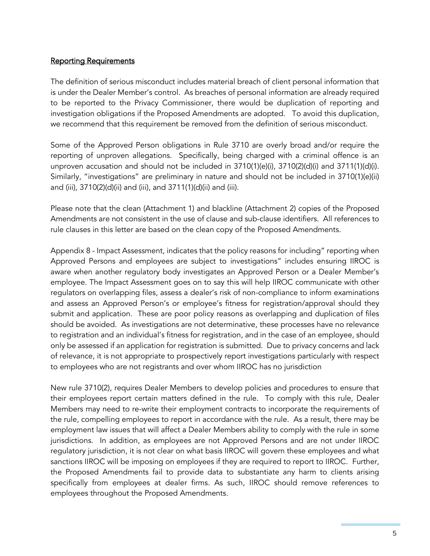### Reporting Requirements

The definition of serious misconduct includes material breach of client personal information that is under the Dealer Member's control. As breaches of personal information are already required to be reported to the Privacy Commissioner, there would be duplication of reporting and investigation obligations if the Proposed Amendments are adopted. To avoid this duplication, we recommend that this requirement be removed from the definition of serious misconduct.

Some of the Approved Person obligations in Rule 3710 are overly broad and/or require the reporting of unproven allegations. Specifically, being charged with a criminal offence is an unproven accusation and should not be included in 3710(1)(e)(i), 3710(2)(d)(i) and 3711(1)(d)(i). Similarly, "investigations" are preliminary in nature and should not be included in 3710(1)(e)(ii) and (iii), 3710(2)(d)(ii) and (iii), and 3711(1)(d)(ii) and (iii).

Please note that the clean (Attachment 1) and blackline (Attachment 2) copies of the Proposed Amendments are not consistent in the use of clause and sub-clause identifiers. All references to rule clauses in this letter are based on the clean copy of the Proposed Amendments.

Appendix 8 - Impact Assessment, indicates that the policy reasons for including" reporting when Approved Persons and employees are subject to investigations" includes ensuring IIROC is aware when another regulatory body investigates an Approved Person or a Dealer Member's employee. The Impact Assessment goes on to say this will help IIROC communicate with other regulators on overlapping files, assess a dealer's risk of non-compliance to inform examinations and assess an Approved Person's or employee's fitness for registration/approval should they submit and application. These are poor policy reasons as overlapping and duplication of files should be avoided. As investigations are not determinative, these processes have no relevance to registration and an individual's fitness for registration, and in the case of an employee, should only be assessed if an application for registration is submitted. Due to privacy concerns and lack of relevance, it is not appropriate to prospectively report investigations particularly with respect to employees who are not registrants and over whom IIROC has no jurisdiction

New rule 3710(2), requires Dealer Members to develop policies and procedures to ensure that their employees report certain matters defined in the rule. To comply with this rule, Dealer Members may need to re-write their employment contracts to incorporate the requirements of the rule, compelling employees to report in accordance with the rule. As a result, there may be employment law issues that will affect a Dealer Members ability to comply with the rule in some jurisdictions. In addition, as employees are not Approved Persons and are not under IIROC regulatory jurisdiction, it is not clear on what basis IIROC will govern these employees and what sanctions IIROC will be imposing on employees if they are required to report to IIROC. Further, the Proposed Amendments fail to provide data to substantiate any harm to clients arising specifically from employees at dealer firms. As such, IIROC should remove references to employees throughout the Proposed Amendments.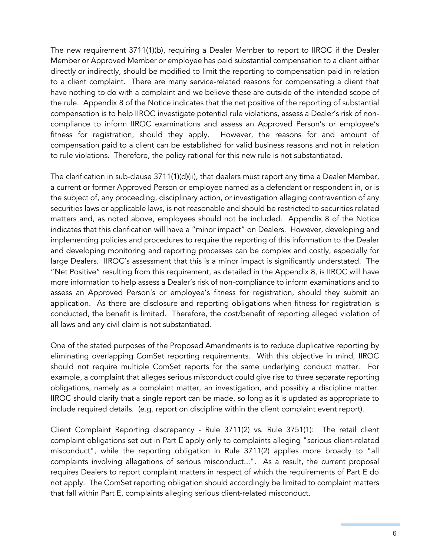The new requirement 3711(1)(b), requiring a Dealer Member to report to IIROC if the Dealer Member or Approved Member or employee has paid substantial compensation to a client either directly or indirectly, should be modified to limit the reporting to compensation paid in relation to a client complaint. There are many service-related reasons for compensating a client that have nothing to do with a complaint and we believe these are outside of the intended scope of the rule. Appendix 8 of the Notice indicates that the net positive of the reporting of substantial compensation is to help IIROC investigate potential rule violations, assess a Dealer's risk of noncompliance to inform IIROC examinations and assess an Approved Person's or employee's fitness for registration, should they apply. However, the reasons for and amount of compensation paid to a client can be established for valid business reasons and not in relation to rule violations. Therefore, the policy rational for this new rule is not substantiated.

The clarification in sub-clause 3711(1)(d)(ii), that dealers must report any time a Dealer Member, a current or former Approved Person or employee named as a defendant or respondent in, or is the subject of, any proceeding, disciplinary action, or investigation alleging contravention of any securities laws or applicable laws, is not reasonable and should be restricted to securities related matters and, as noted above, employees should not be included. Appendix 8 of the Notice indicates that this clarification will have a "minor impact" on Dealers. However, developing and implementing policies and procedures to require the reporting of this information to the Dealer and developing monitoring and reporting processes can be complex and costly, especially for large Dealers. IIROC's assessment that this is a minor impact is significantly understated. The "Net Positive" resulting from this requirement, as detailed in the Appendix 8, is IIROC will have more information to help assess a Dealer's risk of non-compliance to inform examinations and to assess an Approved Person's or employee's fitness for registration, should they submit an application. As there are disclosure and reporting obligations when fitness for registration is conducted, the benefit is limited. Therefore, the cost/benefit of reporting alleged violation of all laws and any civil claim is not substantiated.

One of the stated purposes of the Proposed Amendments is to reduce duplicative reporting by eliminating overlapping ComSet reporting requirements. With this objective in mind, IIROC should not require multiple ComSet reports for the same underlying conduct matter. For example, a complaint that alleges serious misconduct could give rise to three separate reporting obligations, namely as a complaint matter, an investigation, and possibly a discipline matter. IIROC should clarify that a single report can be made, so long as it is updated as appropriate to include required details. (e.g. report on discipline within the client complaint event report).

Client Complaint Reporting discrepancy - Rule 3711(2) vs. Rule 3751(1): The retail client complaint obligations set out in Part E apply only to complaints alleging "serious client-related misconduct", while the reporting obligation in Rule 3711(2) applies more broadly to "all complaints involving allegations of serious misconduct*...*". As a result, the current proposal requires Dealers to report complaint matters in respect of which the requirements of Part E do not apply. The ComSet reporting obligation should accordingly be limited to complaint matters that fall within Part E, complaints alleging serious client-related misconduct*.*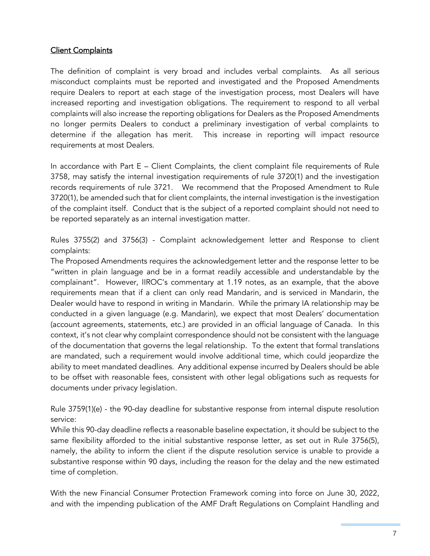## **Client Complaints**

The definition of complaint is very broad and includes verbal complaints. As all serious misconduct complaints must be reported and investigated and the Proposed Amendments require Dealers to report at each stage of the investigation process, most Dealers will have increased reporting and investigation obligations. The requirement to respond to all verbal complaints will also increase the reporting obligations for Dealers as the Proposed Amendments no longer permits Dealers to conduct a preliminary investigation of verbal complaints to determine if the allegation has merit. This increase in reporting will impact resource requirements at most Dealers.

In accordance with Part E – Client Complaints, the client complaint file requirements of Rule 3758, may satisfy the internal investigation requirements of rule 3720(1) and the investigation records requirements of rule 3721. We recommend that the Proposed Amendment to Rule 3720(1), be amended such that for client complaints, the internal investigation is the investigation of the complaint itself. Conduct that is the subject of a reported complaint should not need to be reported separately as an internal investigation matter.

Rules 3755(2) and 3756(3) - Complaint acknowledgement letter and Response to client complaints:

The Proposed Amendments requires the acknowledgement letter and the response letter to be "written in plain language and be in a format readily accessible and understandable by the complainant". However, IIROC's commentary at 1.19 notes, as an example, that the above requirements mean that if a client can only read Mandarin, and is serviced in Mandarin, the Dealer would have to respond in writing in Mandarin. While the primary IA relationship may be conducted in a given language (e.g. Mandarin), we expect that most Dealers' documentation (account agreements, statements, etc.) are provided in an official language of Canada. In this context, it's not clear why complaint correspondence should not be consistent with the language of the documentation that governs the legal relationship. To the extent that formal translations are mandated, such a requirement would involve additional time, which could jeopardize the ability to meet mandated deadlines. Any additional expense incurred by Dealers should be able to be offset with reasonable fees, consistent with other legal obligations such as requests for documents under privacy legislation.

Rule 3759(1)(e) - the 90-day deadline for substantive response from internal dispute resolution service:

While this 90-day deadline reflects a reasonable baseline expectation, it should be subject to the same flexibility afforded to the initial substantive response letter, as set out in Rule 3756(5), namely, the ability to inform the client if the dispute resolution service is unable to provide a substantive response within 90 days, including the reason for the delay and the new estimated time of completion.

With the new Financial Consumer Protection Framework coming into force on June 30, 2022, and with the impending publication of the AMF Draft Regulations on Complaint Handling and